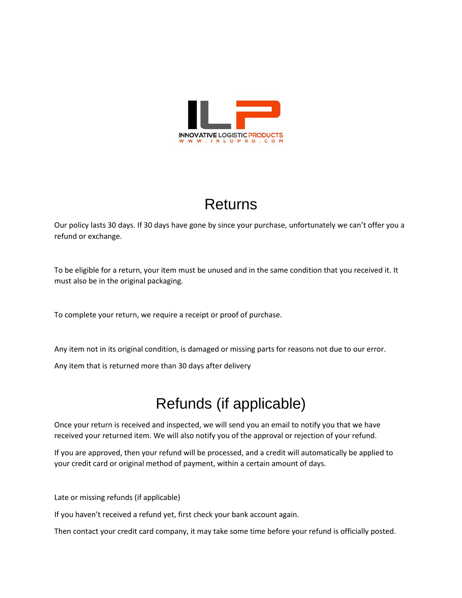

#### Returns

Our policy lasts 30 days. If 30 days have gone by since your purchase, unfortunately we can't offer you a refund or exchange.

To be eligible for a return, your item must be unused and in the same condition that you received it. It must also be in the original packaging.

To complete your return, we require a receipt or proof of purchase.

Any item not in its original condition, is damaged or missing parts for reasons not due to our error.

Any item that is returned more than 30 days after delivery

### Refunds (if applicable)

Once your return is received and inspected, we will send you an email to notify you that we have received your returned item. We will also notify you of the approval or rejection of your refund.

If you are approved, then your refund will be processed, and a credit will automatically be applied to your credit card or original method of payment, within a certain amount of days.

Late or missing refunds (if applicable)

If you haven't received a refund yet, first check your bank account again.

Then contact your credit card company, it may take some time before your refund is officially posted.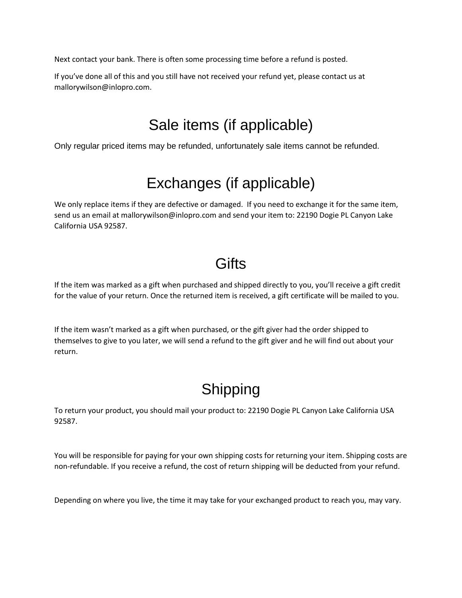Next contact your bank. There is often some processing time before a refund is posted.

If you've done all of this and you still have not received your refund yet, please contact us at mallorywilson@inlopro.com.

### Sale items (if applicable)

Only regular priced items may be refunded, unfortunately sale items cannot be refunded.

# Exchanges (if applicable)

We only replace items if they are defective or damaged. If you need to exchange it for the same item, send us an email at mallorywilson@inlopro.com and send your item to: 22190 Dogie PL Canyon Lake California USA 92587.

### **Gifts**

If the item was marked as a gift when purchased and shipped directly to you, you'll receive a gift credit for the value of your return. Once the returned item is received, a gift certificate will be mailed to you.

If the item wasn't marked as a gift when purchased, or the gift giver had the order shipped to themselves to give to you later, we will send a refund to the gift giver and he will find out about your return.

## Shipping

To return your product, you should mail your product to: 22190 Dogie PL Canyon Lake California USA 92587.

You will be responsible for paying for your own shipping costs for returning your item. Shipping costs are non-refundable. If you receive a refund, the cost of return shipping will be deducted from your refund.

Depending on where you live, the time it may take for your exchanged product to reach you, may vary.